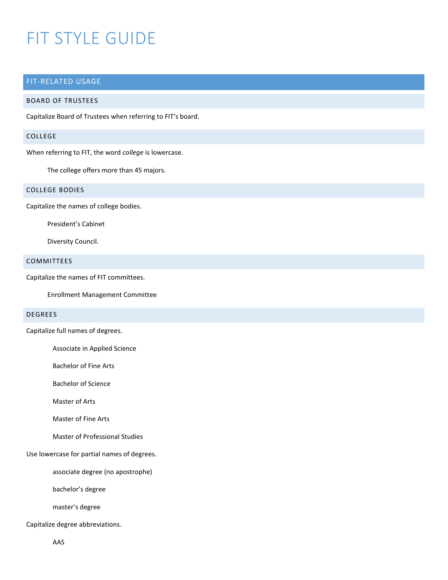# FIT STYLE GUIDE

# FIT-RELATED USAGE

## BOARD OF TRUSTEES

Capitalize Board of Trustees when referring to FIT's board.

#### COLLEGE

When referring to FIT, the word *college* is lowercase.

The college offers more than 45 majors.

# COLLEGE BODIES

Capitalize the names of college bodies.

President's Cabinet

Diversity Council.

#### COMMITTEES

Capitalize the names of FIT committees.

Enrollment Management Committee

# DEGREES

Capitalize full names of degrees.

Associate in Applied Science

Bachelor of Fine Arts

Bachelor of Science

Master of Arts

Master of Fine Arts

Master of Professional Studies

Use lowercase for partial names of degrees.

associate degree (no apostrophe)

bachelor's degree

master's degree

Capitalize degree abbreviations.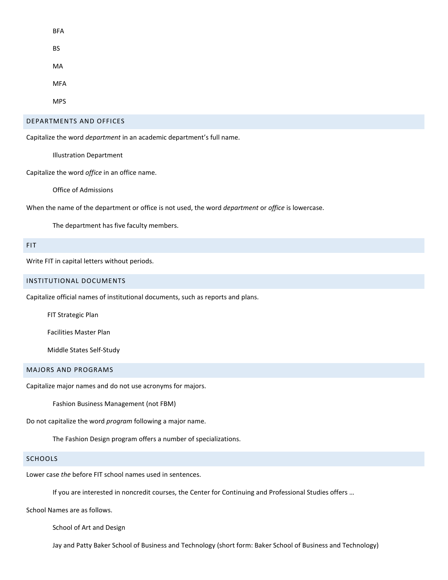| <b>BFA</b> |  |  |  |
|------------|--|--|--|
| <b>BS</b>  |  |  |  |
| MA         |  |  |  |
| <b>MFA</b> |  |  |  |
| MPS        |  |  |  |

#### DEPARTMENTS AND OFFICES

Capitalize the word *department* in an academic department's full name.

Illustration Department

Capitalize the word *office* in an office name.

Office of Admissions

When the name of the department or office is not used, the word *department* or *office* is lowercase.

The department has five faculty members.

## FIT

Write FIT in capital letters without periods.

### INSTITUTIONAL DOCUMENTS

Capitalize official names of institutional documents, such as reports and plans.

FIT Strategic Plan

Facilities Master Plan

Middle States Self-Study

## MAJORS AND PROGRAMS

Capitalize major names and do not use acronyms for majors.

Fashion Business Management (not FBM)

Do not capitalize the word *program* following a major name.

The Fashion Design program offers a number of specializations.

#### **SCHOOLS**

Lower case *the* before FIT school names used in sentences.

If you are interested in noncredit courses, the Center for Continuing and Professional Studies offers …

School Names are as follows.

School of Art and Design

Jay and Patty Baker School of Business and Technology (short form: Baker School of Business and Technology)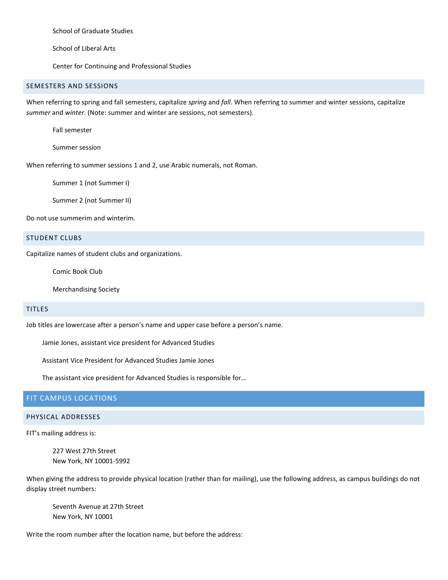School of Graduate Studies

School of Liberal Arts

Center for Continuing and Professional Studies

# SEMESTERS AND SESSIONS

When referring to spring and fall semesters, capitalize *spring* and *fall*. When referring to summer and winter sessions, capitalize *summer* and *winter*. (Note: summer and winter are sessions, not semesters).

Fall semester

Summer session

When referring to summer sessions 1 and 2, use Arabic numerals, not Roman.

Summer 1 (not Summer I)

Summer 2 (not Summer II)

Do not use summerim and winterim.

## STUDENT CLUBS

Capitalize names of student clubs and organizations.

Comic Book Club

Merchandising Society

## TITLES

Job titles are lowercase after a person's name and upper case before a person's name.

Jamie Jones, assistant vice president for Advanced Studies

Assistant Vice President for Advanced Studies Jamie Jones

The assistant vice president for Advanced Studies is responsible for…

## FIT CAMPUS LOCATIONS

#### PHYSICAL ADDRESSES

FIT's mailing address is:

227 West 27th Street New York, NY 10001-5992

When giving the address to provide physical location (rather than for mailing), use the following address, as campus buildings do not display street numbers:

Seventh Avenue at 27th Street New York, NY 10001

Write the room number after the location name, but before the address: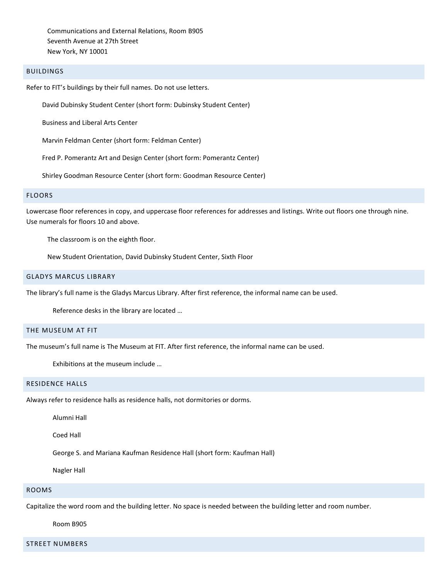Communications and External Relations, Room B905 Seventh Avenue at 27th Street New York, NY 10001

## BUILDINGS

Refer to FIT's buildings by their full names. Do not use letters.

David Dubinsky Student Center (short form: Dubinsky Student Center)

Business and Liberal Arts Center

Marvin Feldman Center (short form: Feldman Center)

Fred P. Pomerantz Art and Design Center (short form: Pomerantz Center)

Shirley Goodman Resource Center (short form: Goodman Resource Center)

#### FLOORS

Lowercase floor references in copy, and uppercase floor references for addresses and listings. Write out floors one through nine. Use numerals for floors 10 and above.

The classroom is on the eighth floor.

New Student Orientation, David Dubinsky Student Center, Sixth Floor

#### GLADYS MARCUS LIBRARY

The library's full name is the Gladys Marcus Library. After first reference, the informal name can be used.

Reference desks in the library are located …

## THE MUSEUM AT FIT

The museum's full name is The Museum at FIT. After first reference, the informal name can be used.

Exhibitions at the museum include …

### RESIDENCE HALLS

Always refer to residence halls as residence halls, not dormitories or dorms.

Alumni Hall

Coed Hall

George S. and Mariana Kaufman Residence Hall (short form: Kaufman Hall)

Nagler Hall

#### ROOMS

Capitalize the word room and the building letter. No space is needed between the building letter and room number.

Room B905

STREET NUMBERS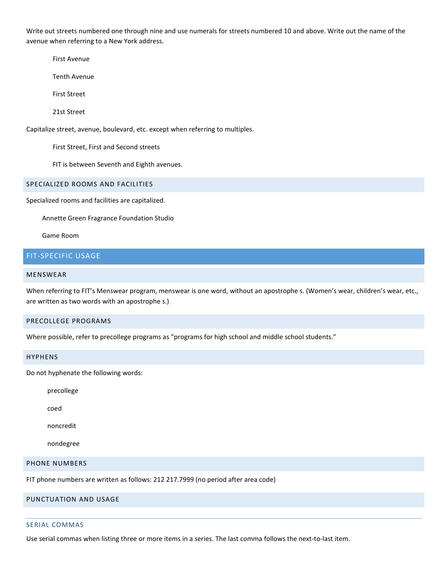Write out streets numbered one through nine and use numerals for streets numbered 10 and above. Write out the name of the avenue when referring to a New York address.

First Avenue

Tenth Avenue

First Street

21st Street

Capitalize street, avenue, boulevard, etc. except when referring to multiples.

First Street, First and Second streets

FIT is between Seventh and Eighth avenues.

### SPECIALIZED ROOMS AND FACILITIES

Specialized rooms and facilities are capitalized.

Annette Green Fragrance Foundation Studio

Game Room

# FIT-SPECIFIC USAGE

### MENSWEAR

When referring to FIT's Menswear program, menswear is one word, without an apostrophe s. (Women's wear, children's wear, etc., are written as two words with an apostrophe s.)

#### PRECOLLEGE PROGRAMS

Where possible, refer to precollege programs as "programs for high school and middle school students."

#### HYPHENS

Do not hyphenate the following words:

precollege

coed

noncredit

nondegree

## PHONE NUMBERS

FIT phone numbers are written as follows: 212 217.7999 (no period after area code)

## PUNCTUATION AND USAGE

## SERIAL COMMAS

Use serial commas when listing three or more items in a series. The last comma follows the next-to-last item.